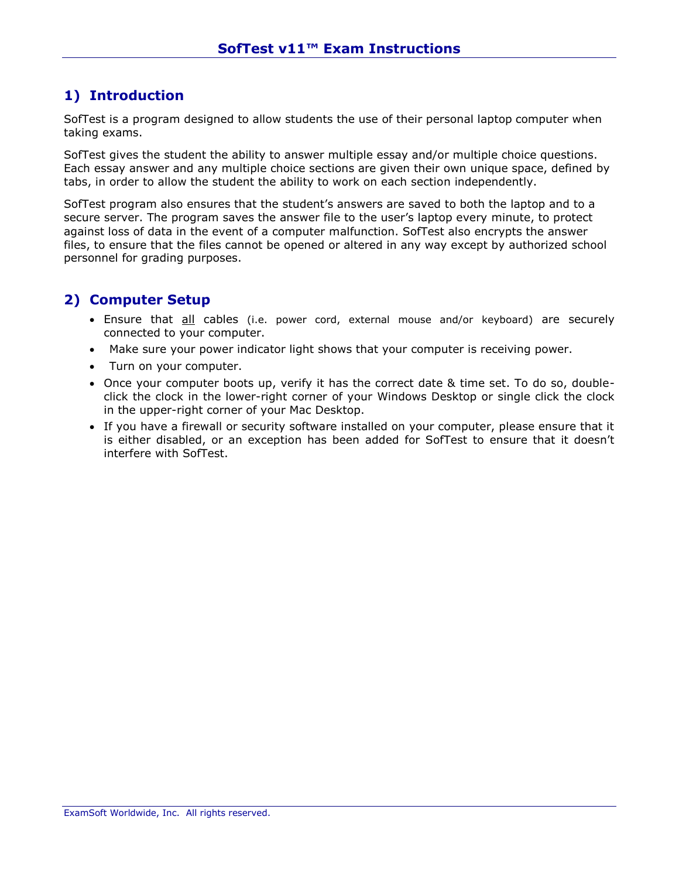## **1) Introduction**

SofTest is a program designed to allow students the use of their personal laptop computer when taking exams.

SofTest gives the student the ability to answer multiple essay and/or multiple choice questions. Each essay answer and any multiple choice sections are given their own unique space, defined by tabs, in order to allow the student the ability to work on each section independently.

SofTest program also ensures that the student's answers are saved to both the laptop and to a secure server. The program saves the answer file to the user's laptop every minute, to protect against loss of data in the event of a computer malfunction. SofTest also encrypts the answer files, to ensure that the files cannot be opened or altered in any way except by authorized school personnel for grading purposes.

### **2) Computer Setup**

- Ensure that all cables (i.e. power cord, external mouse and/or keyboard) are securely connected to your computer.
- Make sure your power indicator light shows that your computer is receiving power.
- Turn on your computer.
- Once your computer boots up, verify it has the correct date & time set. To do so, doubleclick the clock in the lower-right corner of your Windows Desktop or single click the clock in the upper-right corner of your Mac Desktop.
- If you have a firewall or security software installed on your computer, please ensure that it is either disabled, or an exception has been added for SofTest to ensure that it doesn't interfere with SofTest.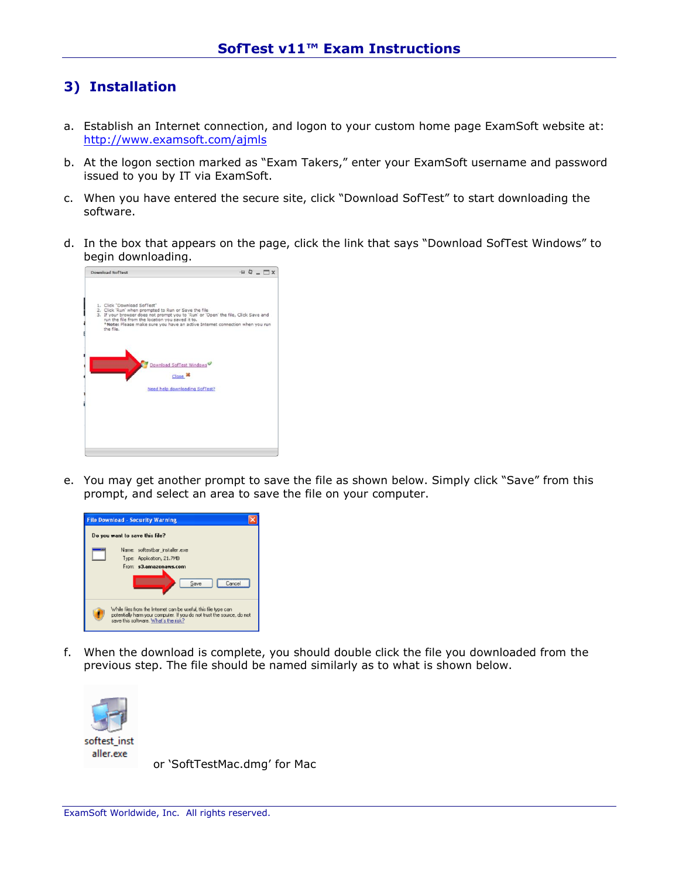## **3) Installation**

- a. Establish an Internet connection, and logon to your custom home page ExamSoft website at: <http://www.examsoft.com/ajmls>
- b. At the logon section marked as "Exam Takers," enter your ExamSoft username and password issued to you by IT via ExamSoft.
- c. When you have entered the secure site, click "Download SofTest" to start downloading the software.
- d. In the box that appears on the page, click the link that says "Download SofTest Windows" to begin downloading.



e. You may get another prompt to save the file as shown below. Simply click "Save" from this prompt, and select an area to save the file on your computer.



f. When the download is complete, you should double click the file you downloaded from the previous step. The file should be named similarly as to what is shown below.



or 'SoftTestMac.dmg' for Mac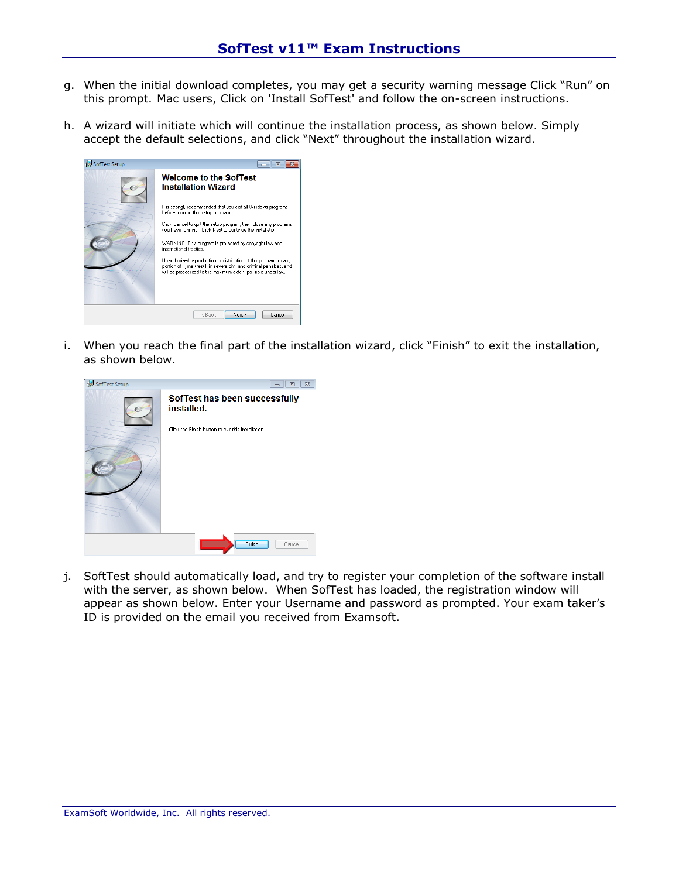- g. When the initial download completes, you may get a security warning message Click "Run" on this prompt. Mac users, Click on 'Install SofTest' and follow the on-screen instructions.
- h. A wizard will initiate which will continue the installation process, as shown below. Simply accept the default selections, and click "Next" throughout the installation wizard.



i. When you reach the final part of the installation wizard, click "Finish" to exit the installation, as shown below.



j. SoftTest should automatically load, and try to register your completion of the software install with the server, as shown below. When SofTest has loaded, the registration window will appear as shown below. Enter your Username and password as prompted. Your exam taker's ID is provided on the email you received from Examsoft.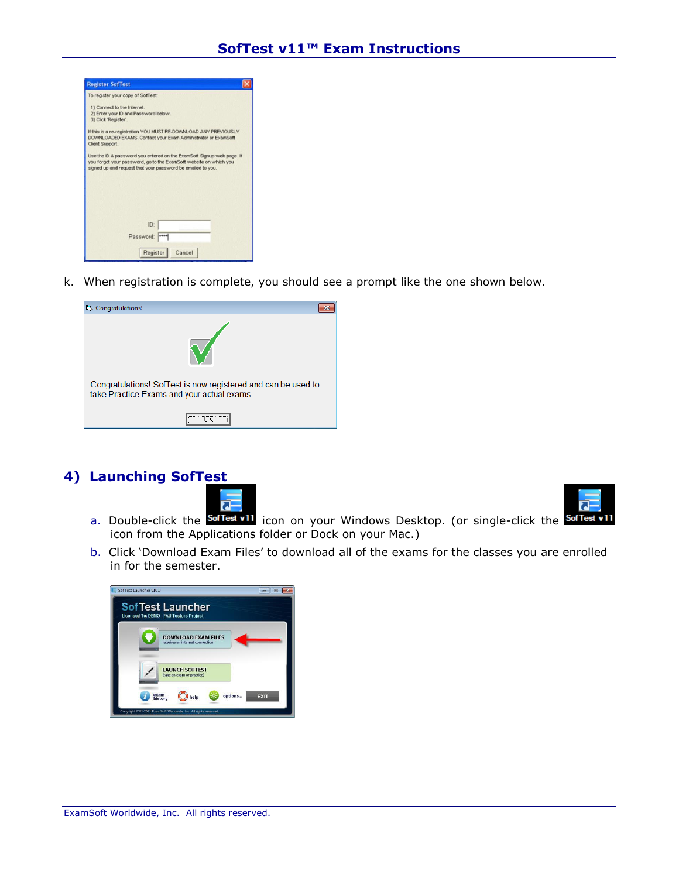

k. When registration is complete, you should see a prompt like the one shown below.

| Congratulations!                                                                                            |  |  |  |  |
|-------------------------------------------------------------------------------------------------------------|--|--|--|--|
|                                                                                                             |  |  |  |  |
| Congratulations! SofTest is now registered and can be used to<br>take Practice Exams and your actual exams. |  |  |  |  |
|                                                                                                             |  |  |  |  |

### **4) Launching SofTest**





- a. Double-click the **SofTest v11** icon on your Windows Desktop. (or single-click the SofTest v11 icon from the Applications folder or Dock on your Mac.)
- b. Click 'Download Exam Files' to download all of the exams for the classes you are enrolled in for the semester.

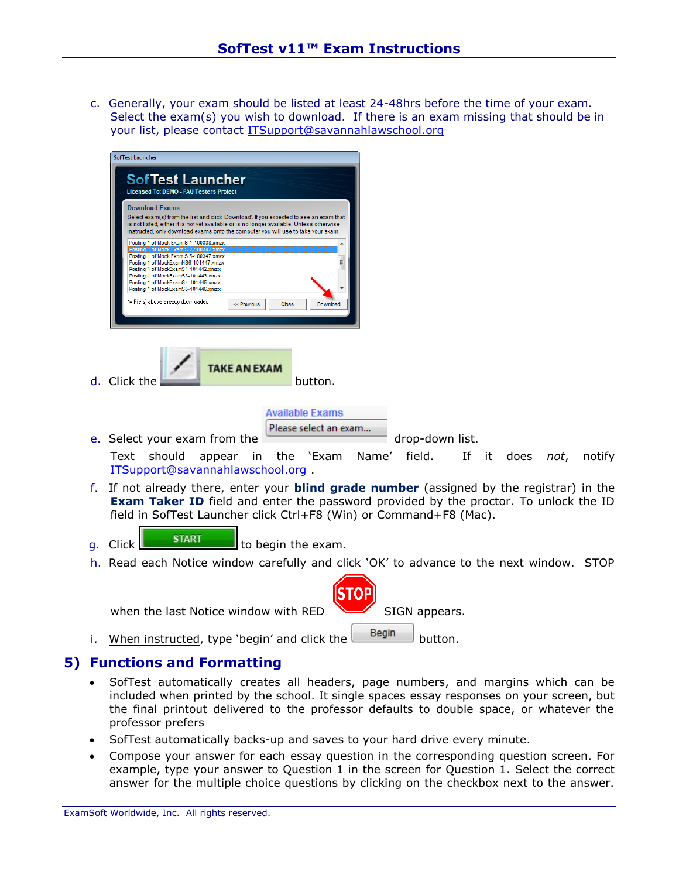c. Generally, your exam should be listed at least 24-48hrs before the time of your exam. Select the exam(s) you wish to download. If there is an exam missing that should be in your list, please contact [ITSupport@savannahlawschool.org](mailto:ITSupport@savannahlawschool.org)

|    |    | Sof Fest Launcher                                                                                                                                                                                                                                                                                                                                               |  |  |  |  |  |  |
|----|----|-----------------------------------------------------------------------------------------------------------------------------------------------------------------------------------------------------------------------------------------------------------------------------------------------------------------------------------------------------------------|--|--|--|--|--|--|
|    |    | <b>SofTest Launcher</b><br><b>Licensed To: DEMO - FAU Testers Project</b>                                                                                                                                                                                                                                                                                       |  |  |  |  |  |  |
|    |    | <b>Download Exams</b><br>Select exam(s) from the list and click 'Download'. If you expected to see an exam that<br>is not listed, either it is not yet available or is no longer available. Unless otherwise<br>instructed, only download exams onto the computer you will use to take your exam.                                                               |  |  |  |  |  |  |
|    |    | Posting 1 of Mock Exam S 1-100338.xmzx<br>Posting 1 of Mock Exam S 5-100347.xmzx<br>Posting 1 of MockExamNS6-101447.xmzx<br>Posting 1 of MockExamS1-101442.xmzx<br>Posting 1 of MockExamS3-101443.xmzx<br>Posting 1 of MockExamS4-101445.xmzx<br>Posting 1 of MockExamS5-101446.xmzx<br>'= File(s) above already downloaded<br><< Previous<br>Close<br>Download |  |  |  |  |  |  |
|    |    | <b>TAKE AN EXAM</b><br>d. Click the<br>button.                                                                                                                                                                                                                                                                                                                  |  |  |  |  |  |  |
|    |    | <b>Available Exams</b>                                                                                                                                                                                                                                                                                                                                          |  |  |  |  |  |  |
|    |    | Please select an exam<br>e. Select your exam from the<br>drop-down list.                                                                                                                                                                                                                                                                                        |  |  |  |  |  |  |
|    |    | the 'Exam<br>field.<br>If<br>Text should<br>in<br>Name'<br>- it<br>does<br>appear<br>not,<br>notify<br>ITSupport@savannahlawschool.org                                                                                                                                                                                                                          |  |  |  |  |  |  |
|    |    | f. If not already there, enter your <b>blind grade number</b> (assigned by the registrar) in the<br>Exam Taker ID field and enter the password provided by the proctor. To unlock the ID<br>field in SofTest Launcher click Ctrl+F8 (Win) or Command+F8 (Mac).                                                                                                  |  |  |  |  |  |  |
|    | q. | <b>START</b><br>to begin the exam.<br>Click                                                                                                                                                                                                                                                                                                                     |  |  |  |  |  |  |
|    |    | h. Read each Notice window carefully and click 'OK' to advance to the next window. STOP                                                                                                                                                                                                                                                                         |  |  |  |  |  |  |
|    |    |                                                                                                                                                                                                                                                                                                                                                                 |  |  |  |  |  |  |
|    |    | when the last Notice window with RED<br>SIGN appears.                                                                                                                                                                                                                                                                                                           |  |  |  |  |  |  |
|    | i. | Begin<br>When instructed, type 'begin' and click the<br>button.                                                                                                                                                                                                                                                                                                 |  |  |  |  |  |  |
| 5) |    | <b>Functions and Formatting</b>                                                                                                                                                                                                                                                                                                                                 |  |  |  |  |  |  |
|    |    | SofTest automatically creates all headers, page numbers, and margins which can be<br>included when printed by the school. It single spaces essay responses on your screen, but<br>the final printout delivered to the professor defaults to double space, or whatever the<br>professor prefers                                                                  |  |  |  |  |  |  |

- SofTest automatically backs-up and saves to your hard drive every minute.
- Compose your answer for each essay question in the corresponding question screen. For example, type your answer to Question 1 in the screen for Question 1. Select the correct answer for the multiple choice questions by clicking on the checkbox next to the answer.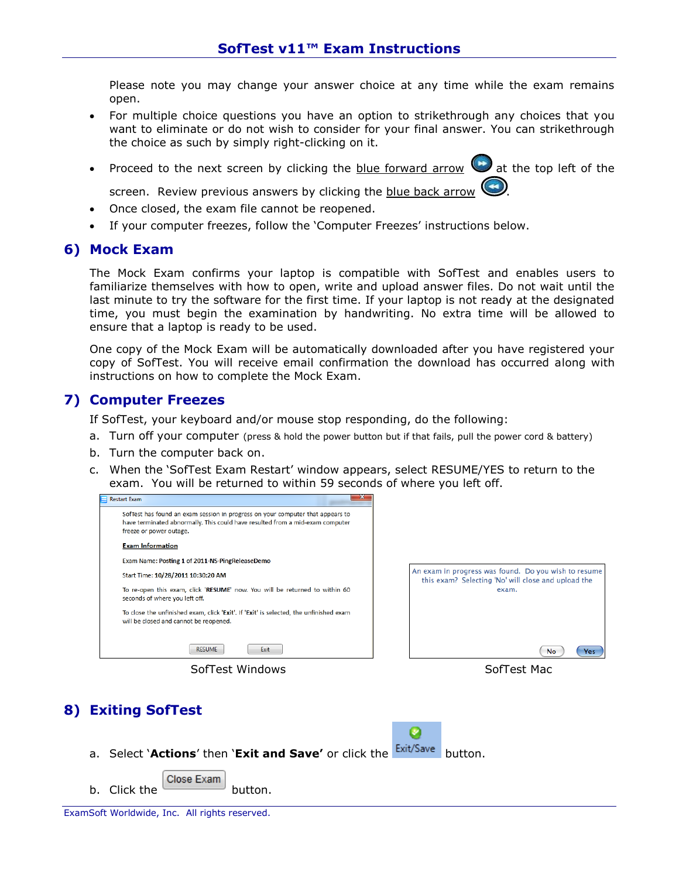Please note you may change your answer choice at any time while the exam remains open.

- For multiple choice questions you have an option to strikethrough any choices that you want to eliminate or do not wish to consider for your final answer. You can strikethrough the choice as such by simply right-clicking on it.
- Proceed to the next screen by clicking the **blue forward arrow**  $\bullet$  at the top left of the

screen. Review previous answers by clicking the blue back arrow

- Once closed, the exam file cannot be reopened.
- If your computer freezes, follow the 'Computer Freezes' instructions below.

#### **6) Mock Exam**

The Mock Exam confirms your laptop is compatible with SofTest and enables users to familiarize themselves with how to open, write and upload answer files. Do not wait until the last minute to try the software for the first time. If your laptop is not ready at the designated time, you must begin the examination by handwriting. No extra time will be allowed to ensure that a laptop is ready to be used.

One copy of the Mock Exam will be automatically downloaded after you have registered your copy of SofTest. You will receive email confirmation the download has occurred along with instructions on how to complete the Mock Exam.

#### **7) Computer Freezes**

If SofTest, your keyboard and/or mouse stop responding, do the following:

- a. Turn off your computer (press & hold the power button but if that fails, pull the power cord & battery)
- b. Turn the computer back on.
- c. When the 'SofTest Exam Restart' window appears, select RESUME/YES to return to the exam. You will be returned to within 59 seconds of where you left off.



# **8) Exiting SofTest**



- a. Select **`Actions'** then **`Exit and Save'** or click the **Exit/Save** button.
- Close Exam b. Click the button.

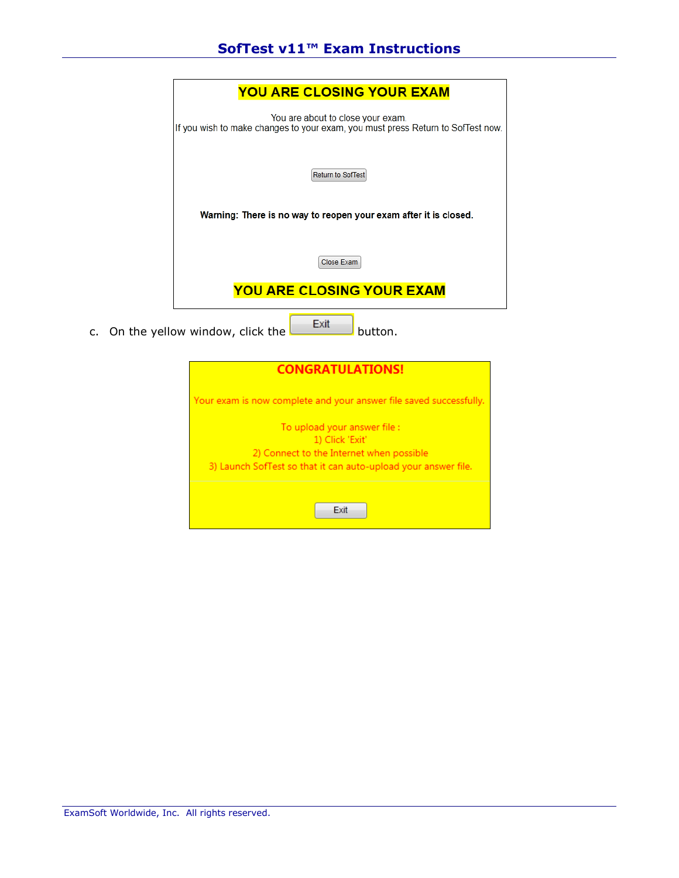|  | <b>YOU ARE CLOSING YOUR EXAM</b>                                                                                     |  |  |
|--|----------------------------------------------------------------------------------------------------------------------|--|--|
|  | You are about to close your exam.<br>If you wish to make changes to your exam, you must press Return to SofTest now. |  |  |
|  | <b>Return to SofTest</b>                                                                                             |  |  |
|  | Warning: There is no way to reopen your exam after it is closed.                                                     |  |  |
|  | Close Exam                                                                                                           |  |  |
|  | <b>YOU ARE CLOSING YOUR EXAM</b>                                                                                     |  |  |
|  | Exit<br>c. On the yellow window, click the<br>button.                                                                |  |  |
|  | <b>CONGRATULATIONS!</b>                                                                                              |  |  |

Your exam is now complete and your answer file saved successfully.

| To upload your answer file :                                   |
|----------------------------------------------------------------|
| 1) Click 'Exit'                                                |
| 2) Connect to the Internet when possible                       |
| 3) Launch SofTest so that it can auto-upload your answer file. |
|                                                                |
| <b>Fxit</b>                                                    |